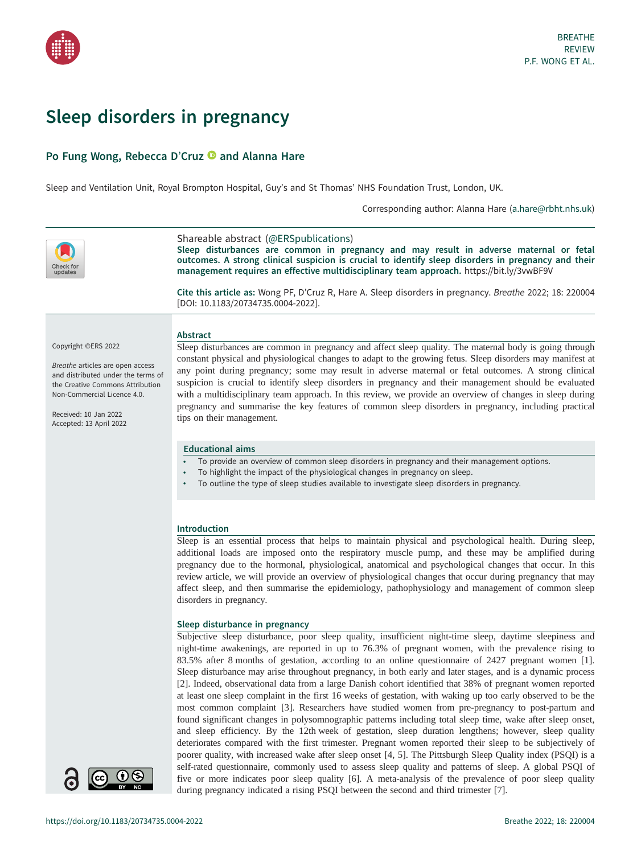

# Sleep disorders in pregnancy

# Po Fung Wong, Rebecca D'Cruz **and Alanna Hare**

Sleep and Ventilation Unit, Royal Brompton Hospital, Guy's and St Thomas' NHS Foundation Trust, London, UK.

Corresponding author: Alanna Hare [\(a.hare@rbht.nhs.uk](mailto:a.hare@rbht.nhs.uk))



Shareable abstract (@ERSpublications) Sleep disturbances are common in pregnancy and may result in adverse maternal or fetal outcomes. A strong clinical suspicion is crucial to identify sleep disorders in pregnancy and their management requires an effective multidisciplinary team approach. <https://bit.ly/3vwBF9V>

Cite this article as: Wong PF, D'Cruz R, Hare A. Sleep disorders in pregnancy. Breathe 2022; 18: 220004 [\[DOI: 10.1183/20734735.0004-2022\].](https://doi.org/10.1183/20734735.0004-2022)

# Copyright ©ERS 2022

Breathe articles are open access and distributed under the terms of the Creative Commons Attribution Non-Commercial Licence 4.0.

Received: 10 Jan 2022 Accepted: 13 April 2022

# Abstract

Sleep disturbances are common in pregnancy and affect sleep quality. The maternal body is going through constant physical and physiological changes to adapt to the growing fetus. Sleep disorders may manifest at any point during pregnancy; some may result in adverse maternal or fetal outcomes. A strong clinical suspicion is crucial to identify sleep disorders in pregnancy and their management should be evaluated with a multidisciplinary team approach. In this review, we provide an overview of changes in sleep during pregnancy and summarise the key features of common sleep disorders in pregnancy, including practical tips on their management.

# Educational aims

- To provide an overview of common sleep disorders in pregnancy and their management options.
- To highlight the impact of the physiological changes in pregnancy on sleep.
- To outline the type of sleep studies available to investigate sleep disorders in pregnancy.

# Introduction

Sleep is an essential process that helps to maintain physical and psychological health. During sleep, additional loads are imposed onto the respiratory muscle pump, and these may be amplified during pregnancy due to the hormonal, physiological, anatomical and psychological changes that occur. In this review article, we will provide an overview of physiological changes that occur during pregnancy that may affect sleep, and then summarise the epidemiology, pathophysiology and management of common sleep disorders in pregnancy.

# Sleep disturbance in pregnancy

Subjective sleep disturbance, poor sleep quality, insufficient night-time sleep, daytime sleepiness and night-time awakenings, are reported in up to 76.3% of pregnant women, with the prevalence rising to 83.5% after 8 months of gestation, according to an online questionnaire of 2427 pregnant women [\[1\]](#page-8-0). Sleep disturbance may arise throughout pregnancy, in both early and later stages, and is a dynamic process [\[2\]](#page-8-0). Indeed, observational data from a large Danish cohort identified that 38% of pregnant women reported at least one sleep complaint in the first 16 weeks of gestation, with waking up too early observed to be the most common complaint [\[3\]](#page-8-0). Researchers have studied women from pre-pregnancy to post-partum and found significant changes in polysomnographic patterns including total sleep time, wake after sleep onset, and sleep efficiency. By the 12th week of gestation, sleep duration lengthens; however, sleep quality deteriorates compared with the first trimester. Pregnant women reported their sleep to be subjectively of poorer quality, with increased wake after sleep onset [\[4, 5](#page-8-0)]. The Pittsburgh Sleep Quality index (PSQI) is a self-rated questionnaire, commonly used to assess sleep quality and patterns of sleep. A global PSQI of five or more indicates poor sleep quality [[6](#page-8-0)]. A meta-analysis of the prevalence of poor sleep quality during pregnancy indicated a rising PSQI between the second and third trimester [\[7\]](#page-8-0).

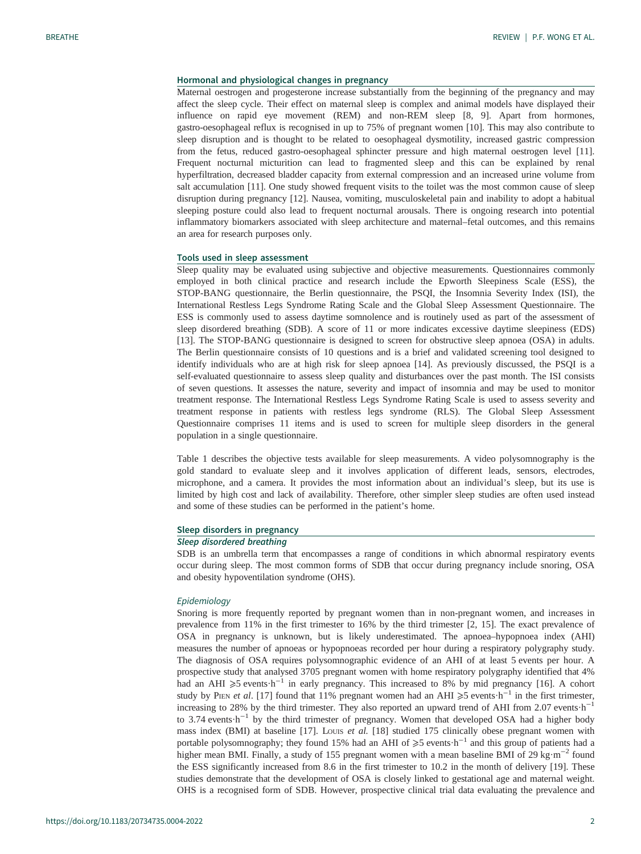# Hormonal and physiological changes in pregnancy

Maternal oestrogen and progesterone increase substantially from the beginning of the pregnancy and may affect the sleep cycle. Their effect on maternal sleep is complex and animal models have displayed their influence on rapid eye movement (REM) and non-REM sleep [\[8, 9\]](#page-8-0). Apart from hormones, gastro-oesophageal reflux is recognised in up to 75% of pregnant women [\[10](#page-8-0)]. This may also contribute to sleep disruption and is thought to be related to oesophageal dysmotility, increased gastric compression from the fetus, reduced gastro-oesophageal sphincter pressure and high maternal oestrogen level [[11\]](#page-8-0). Frequent nocturnal micturition can lead to fragmented sleep and this can be explained by renal hyperfiltration, decreased bladder capacity from external compression and an increased urine volume from salt accumulation [[11\]](#page-8-0). One study showed frequent visits to the toilet was the most common cause of sleep disruption during pregnancy [[12\]](#page-8-0). Nausea, vomiting, musculoskeletal pain and inability to adopt a habitual sleeping posture could also lead to frequent nocturnal arousals. There is ongoing research into potential inflammatory biomarkers associated with sleep architecture and maternal–fetal outcomes, and this remains an area for research purposes only.

#### Tools used in sleep assessment

Sleep quality may be evaluated using subjective and objective measurements. Questionnaires commonly employed in both clinical practice and research include the Epworth Sleepiness Scale (ESS), the STOP-BANG questionnaire, the Berlin questionnaire, the PSQI, the Insomnia Severity Index (ISI), the International Restless Legs Syndrome Rating Scale and the Global Sleep Assessment Questionnaire. The ESS is commonly used to assess daytime somnolence and is routinely used as part of the assessment of sleep disordered breathing (SDB). A score of 11 or more indicates excessive daytime sleepiness (EDS) [\[13](#page-8-0)]. The STOP-BANG questionnaire is designed to screen for obstructive sleep apnoea (OSA) in adults. The Berlin questionnaire consists of 10 questions and is a brief and validated screening tool designed to identify individuals who are at high risk for sleep apnoea [\[14](#page-8-0)]. As previously discussed, the PSQI is a self-evaluated questionnaire to assess sleep quality and disturbances over the past month. The ISI consists of seven questions. It assesses the nature, severity and impact of insomnia and may be used to monitor treatment response. The International Restless Legs Syndrome Rating Scale is used to assess severity and treatment response in patients with restless legs syndrome (RLS). The Global Sleep Assessment Questionnaire comprises 11 items and is used to screen for multiple sleep disorders in the general population in a single questionnaire.

[Table 1](#page-2-0) describes the objective tests available for sleep measurements. A video polysomnography is the gold standard to evaluate sleep and it involves application of different leads, sensors, electrodes, microphone, and a camera. It provides the most information about an individual's sleep, but its use is limited by high cost and lack of availability. Therefore, other simpler sleep studies are often used instead and some of these studies can be performed in the patient's home.

#### Sleep disorders in pregnancy

#### Sleep disordered breathing

SDB is an umbrella term that encompasses a range of conditions in which abnormal respiratory events occur during sleep. The most common forms of SDB that occur during pregnancy include snoring, OSA and obesity hypoventilation syndrome (OHS).

#### Epidemiology

Snoring is more frequently reported by pregnant women than in non-pregnant women, and increases in prevalence from 11% in the first trimester to 16% by the third trimester [\[2, 15](#page-8-0)]. The exact prevalence of OSA in pregnancy is unknown, but is likely underestimated. The apnoea–hypopnoea index (AHI) measures the number of apnoeas or hypopnoeas recorded per hour during a respiratory polygraphy study. The diagnosis of OSA requires polysomnographic evidence of an AHI of at least 5 events per hour. A prospective study that analysed 3705 pregnant women with home respiratory polygraphy identified that 4% had an AHI  $\geq 5$  events·h<sup>-1</sup> in early pregnancy. This increased to 8% by mid pregnancy [[16\]](#page-8-0). A cohort study by PIEN et al. [\[17](#page-8-0)] found that 11% pregnant women had an AHI ≥5 events·h<sup>-1</sup> in the first trimester, increasing to 28% by the third trimester. They also reported an upward trend of AHI from 2.07 events  $h^{-1}$ to 3.74 events·h<sup>-1</sup> by the third trimester of pregnancy. Women that developed OSA had a higher body mass index (BMI) at baseline [[17\]](#page-8-0). Louis et al. [\[18](#page-8-0)] studied 175 clinically obese pregnant women with portable polysomnography; they found 15% had an AHI of  $\geq 5$  events $\cdot$ h<sup>-1</sup> and this group of patients had a higher mean BMI. Finally, a study of 155 pregnant women with a mean baseline BMI of 29 kg·m<sup>-2</sup> found the ESS significantly increased from 8.6 in the first trimester to 10.2 in the month of delivery [\[19](#page-8-0)]. These studies demonstrate that the development of OSA is closely linked to gestational age and maternal weight. OHS is a recognised form of SDB. However, prospective clinical trial data evaluating the prevalence and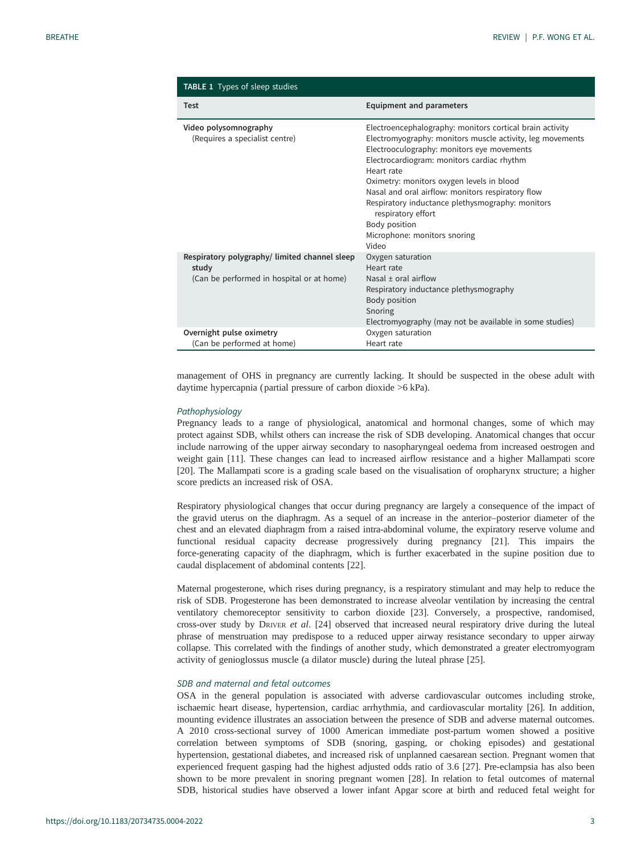<span id="page-2-0"></span>

| <b>TABLE 1</b> Types of sleep studies                                                              |                                                                                                                                                                                                                                                                                                                                                                                                                                                                       |
|----------------------------------------------------------------------------------------------------|-----------------------------------------------------------------------------------------------------------------------------------------------------------------------------------------------------------------------------------------------------------------------------------------------------------------------------------------------------------------------------------------------------------------------------------------------------------------------|
| <b>Test</b>                                                                                        | <b>Equipment and parameters</b>                                                                                                                                                                                                                                                                                                                                                                                                                                       |
| Video polysomnography<br>(Requires a specialist centre)                                            | Electroencephalography: monitors cortical brain activity<br>Electromyography: monitors muscle activity, leg movements<br>Electrooculography: monitors eye movements<br>Electrocardiogram: monitors cardiac rhythm<br>Heart rate<br>Oximetry: monitors oxygen levels in blood<br>Nasal and oral airflow: monitors respiratory flow<br>Respiratory inductance plethysmography: monitors<br>respiratory effort<br>Body position<br>Microphone: monitors snoring<br>Video |
| Respiratory polygraphy/limited channel sleep<br>study<br>(Can be performed in hospital or at home) | Oxygen saturation<br>Heart rate<br>Nasal $\pm$ oral airflow<br>Respiratory inductance plethysmography<br>Body position<br>Snoring<br>Electromyography (may not be available in some studies)                                                                                                                                                                                                                                                                          |
| Overnight pulse oximetry<br>(Can be performed at home)                                             | Oxygen saturation<br>Heart rate                                                                                                                                                                                                                                                                                                                                                                                                                                       |

management of OHS in pregnancy are currently lacking. It should be suspected in the obese adult with daytime hypercapnia ( partial pressure of carbon dioxide >6 kPa).

#### Pathophysiology

Pregnancy leads to a range of physiological, anatomical and hormonal changes, some of which may protect against SDB, whilst others can increase the risk of SDB developing. Anatomical changes that occur include narrowing of the upper airway secondary to nasopharyngeal oedema from increased oestrogen and weight gain [\[11](#page-8-0)]. These changes can lead to increased airflow resistance and a higher Mallampati score [\[20](#page-8-0)]. The Mallampati score is a grading scale based on the visualisation of oropharynx structure; a higher score predicts an increased risk of OSA.

Respiratory physiological changes that occur during pregnancy are largely a consequence of the impact of the gravid uterus on the diaphragm. As a sequel of an increase in the anterior–posterior diameter of the chest and an elevated diaphragm from a raised intra-abdominal volume, the expiratory reserve volume and functional residual capacity decrease progressively during pregnancy [\[21\]](#page-8-0). This impairs the force-generating capacity of the diaphragm, which is further exacerbated in the supine position due to caudal displacement of abdominal contents [[22\]](#page-8-0).

Maternal progesterone, which rises during pregnancy, is a respiratory stimulant and may help to reduce the risk of SDB. Progesterone has been demonstrated to increase alveolar ventilation by increasing the central ventilatory chemoreceptor sensitivity to carbon dioxide [[23\]](#page-8-0). Conversely, a prospective, randomised, cross-over study by DRIVER et al. [[24\]](#page-8-0) observed that increased neural respiratory drive during the luteal phrase of menstruation may predispose to a reduced upper airway resistance secondary to upper airway collapse. This correlated with the findings of another study, which demonstrated a greater electromyogram activity of genioglossus muscle (a dilator muscle) during the luteal phrase [[25\]](#page-8-0).

# SDB and maternal and fetal outcomes

OSA in the general population is associated with adverse cardiovascular outcomes including stroke, ischaemic heart disease, hypertension, cardiac arrhythmia, and cardiovascular mortality [[26\]](#page-8-0). In addition, mounting evidence illustrates an association between the presence of SDB and adverse maternal outcomes. A 2010 cross-sectional survey of 1000 American immediate post-partum women showed a positive correlation between symptoms of SDB (snoring, gasping, or choking episodes) and gestational hypertension, gestational diabetes, and increased risk of unplanned caesarean section. Pregnant women that experienced frequent gasping had the highest adjusted odds ratio of 3.6 [[27\]](#page-8-0). Pre-eclampsia has also been shown to be more prevalent in snoring pregnant women [[28\]](#page-8-0). In relation to fetal outcomes of maternal SDB, historical studies have observed a lower infant Apgar score at birth and reduced fetal weight for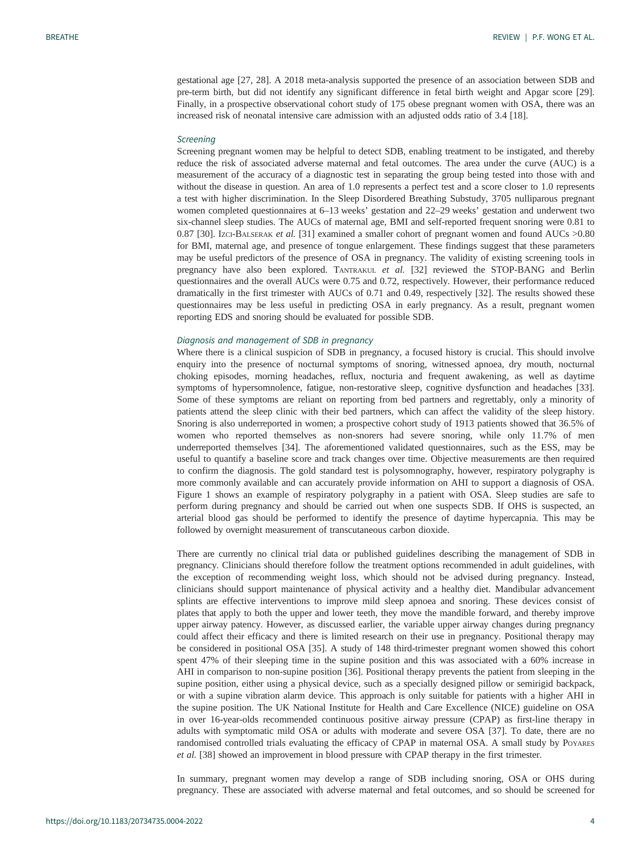gestational age [[27, 28\]](#page-8-0). A 2018 meta-analysis supported the presence of an association between SDB and pre-term birth, but did not identify any significant difference in fetal birth weight and Apgar score [[29\]](#page-8-0). Finally, in a prospective observational cohort study of 175 obese pregnant women with OSA, there was an increased risk of neonatal intensive care admission with an adjusted odds ratio of 3.4 [[18\]](#page-8-0).

#### **Screening**

Screening pregnant women may be helpful to detect SDB, enabling treatment to be instigated, and thereby reduce the risk of associated adverse maternal and fetal outcomes. The area under the curve (AUC) is a measurement of the accuracy of a diagnostic test in separating the group being tested into those with and without the disease in question. An area of 1.0 represents a perfect test and a score closer to 1.0 represents a test with higher discrimination. In the Sleep Disordered Breathing Substudy, 3705 nulliparous pregnant women completed questionnaires at 6–13 weeks' gestation and 22–29 weeks' gestation and underwent two six-channel sleep studies. The AUCs of maternal age, BMI and self-reported frequent snoring were 0.81 to 0.87 [\[30](#page-8-0)]. IZCI-BALSERAK et al. [[31\]](#page-9-0) examined a smaller cohort of pregnant women and found AUCs >0.80 for BMI, maternal age, and presence of tongue enlargement. These findings suggest that these parameters may be useful predictors of the presence of OSA in pregnancy. The validity of existing screening tools in pregnancy have also been explored. TANTRAKUL et al. [[32\]](#page-9-0) reviewed the STOP-BANG and Berlin questionnaires and the overall AUCs were 0.75 and 0.72, respectively. However, their performance reduced dramatically in the first trimester with AUCs of 0.71 and 0.49, respectively [[32\]](#page-9-0). The results showed these questionnaires may be less useful in predicting OSA in early pregnancy. As a result, pregnant women reporting EDS and snoring should be evaluated for possible SDB.

#### Diagnosis and management of SDB in pregnancy

Where there is a clinical suspicion of SDB in pregnancy, a focused history is crucial. This should involve enquiry into the presence of nocturnal symptoms of snoring, witnessed apnoea, dry mouth, nocturnal choking episodes, morning headaches, reflux, nocturia and frequent awakening, as well as daytime symptoms of hypersomnolence, fatigue, non-restorative sleep, cognitive dysfunction and headaches [[33\]](#page-9-0). Some of these symptoms are reliant on reporting from bed partners and regrettably, only a minority of patients attend the sleep clinic with their bed partners, which can affect the validity of the sleep history. Snoring is also underreported in women; a prospective cohort study of 1913 patients showed that 36.5% of women who reported themselves as non-snorers had severe snoring, while only 11.7% of men underreported themselves [\[34](#page-9-0)]. The aforementioned validated questionnaires, such as the ESS, may be useful to quantify a baseline score and track changes over time. Objective measurements are then required to confirm the diagnosis. The gold standard test is polysomnography, however, respiratory polygraphy is more commonly available and can accurately provide information on AHI to support a diagnosis of OSA. [Figure 1](#page-4-0) shows an example of respiratory polygraphy in a patient with OSA. Sleep studies are safe to perform during pregnancy and should be carried out when one suspects SDB. If OHS is suspected, an arterial blood gas should be performed to identify the presence of daytime hypercapnia. This may be followed by overnight measurement of transcutaneous carbon dioxide.

There are currently no clinical trial data or published guidelines describing the management of SDB in pregnancy. Clinicians should therefore follow the treatment options recommended in adult guidelines, with the exception of recommending weight loss, which should not be advised during pregnancy. Instead, clinicians should support maintenance of physical activity and a healthy diet. Mandibular advancement splints are effective interventions to improve mild sleep apnoea and snoring. These devices consist of plates that apply to both the upper and lower teeth, they move the mandible forward, and thereby improve upper airway patency. However, as discussed earlier, the variable upper airway changes during pregnancy could affect their efficacy and there is limited research on their use in pregnancy. Positional therapy may be considered in positional OSA [[35\]](#page-9-0). A study of 148 third-trimester pregnant women showed this cohort spent 47% of their sleeping time in the supine position and this was associated with a 60% increase in AHI in comparison to non-supine position [\[36](#page-9-0)]. Positional therapy prevents the patient from sleeping in the supine position, either using a physical device, such as a specially designed pillow or semirigid backpack, or with a supine vibration alarm device. This approach is only suitable for patients with a higher AHI in the supine position. The UK National Institute for Health and Care Excellence (NICE) guideline on OSA in over 16-year-olds recommended continuous positive airway pressure (CPAP) as first-line therapy in adults with symptomatic mild OSA or adults with moderate and severe OSA [\[37](#page-9-0)]. To date, there are no randomised controlled trials evaluating the efficacy of CPAP in maternal OSA. A small study by Poyares et al. [\[38](#page-9-0)] showed an improvement in blood pressure with CPAP therapy in the first trimester.

In summary, pregnant women may develop a range of SDB including snoring, OSA or OHS during pregnancy. These are associated with adverse maternal and fetal outcomes, and so should be screened for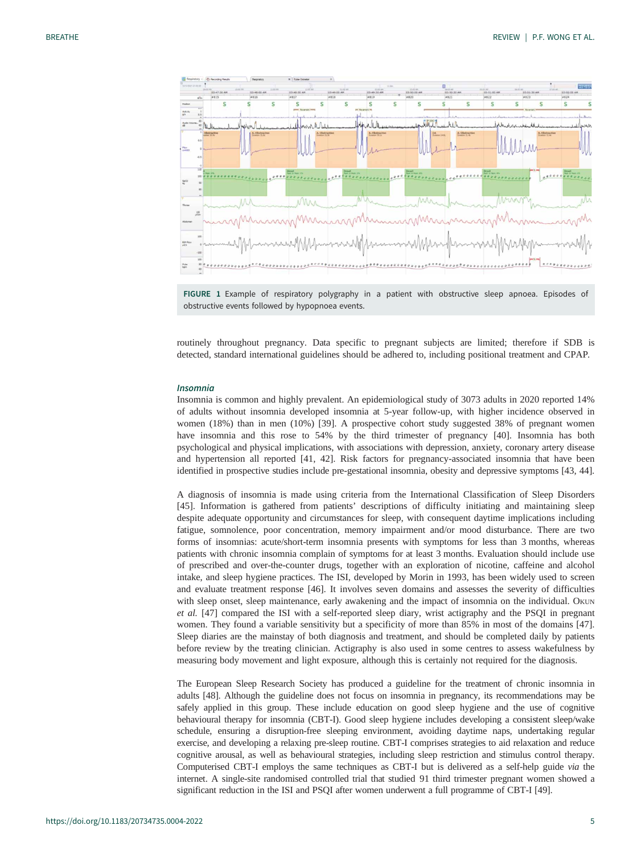<span id="page-4-0"></span>



routinely throughout pregnancy. Data specific to pregnant subjects are limited; therefore if SDB is detected, standard international guidelines should be adhered to, including positional treatment and CPAP.

#### Insomnia

Insomnia is common and highly prevalent. An epidemiological study of 3073 adults in 2020 reported 14% of adults without insomnia developed insomnia at 5-year follow-up, with higher incidence observed in women (18%) than in men (10%) [[39\]](#page-9-0). A prospective cohort study suggested 38% of pregnant women have insomnia and this rose to 54% by the third trimester of pregnancy [[40\]](#page-9-0). Insomnia has both psychological and physical implications, with associations with depression, anxiety, coronary artery disease and hypertension all reported [\[41](#page-9-0), [42\]](#page-9-0). Risk factors for pregnancy-associated insomnia that have been identified in prospective studies include pre-gestational insomnia, obesity and depressive symptoms [[43, 44](#page-9-0)].

A diagnosis of insomnia is made using criteria from the International Classification of Sleep Disorders [\[45](#page-9-0)]. Information is gathered from patients' descriptions of difficulty initiating and maintaining sleep despite adequate opportunity and circumstances for sleep, with consequent daytime implications including fatigue, somnolence, poor concentration, memory impairment and/or mood disturbance. There are two forms of insomnias: acute/short-term insomnia presents with symptoms for less than 3 months, whereas patients with chronic insomnia complain of symptoms for at least 3 months. Evaluation should include use of prescribed and over-the-counter drugs, together with an exploration of nicotine, caffeine and alcohol intake, and sleep hygiene practices. The ISI, developed by Morin in 1993, has been widely used to screen and evaluate treatment response [[46\]](#page-9-0). It involves seven domains and assesses the severity of difficulties with sleep onset, sleep maintenance, early awakening and the impact of insomnia on the individual. OKUN et al. [\[47](#page-9-0)] compared the ISI with a self-reported sleep diary, wrist actigraphy and the PSQI in pregnant women. They found a variable sensitivity but a specificity of more than 85% in most of the domains [[47\]](#page-9-0). Sleep diaries are the mainstay of both diagnosis and treatment, and should be completed daily by patients before review by the treating clinician. Actigraphy is also used in some centres to assess wakefulness by measuring body movement and light exposure, although this is certainly not required for the diagnosis.

The European Sleep Research Society has produced a guideline for the treatment of chronic insomnia in adults [\[48](#page-9-0)]. Although the guideline does not focus on insomnia in pregnancy, its recommendations may be safely applied in this group. These include education on good sleep hygiene and the use of cognitive behavioural therapy for insomnia (CBT-I). Good sleep hygiene includes developing a consistent sleep/wake schedule, ensuring a disruption-free sleeping environment, avoiding daytime naps, undertaking regular exercise, and developing a relaxing pre-sleep routine. CBT-I comprises strategies to aid relaxation and reduce cognitive arousal, as well as behavioural strategies, including sleep restriction and stimulus control therapy. Computerised CBT-I employs the same techniques as CBT-I but is delivered as a self-help guide via the internet. A single-site randomised controlled trial that studied 91 third trimester pregnant women showed a significant reduction in the ISI and PSQI after women underwent a full programme of CBT-I [[49\]](#page-9-0).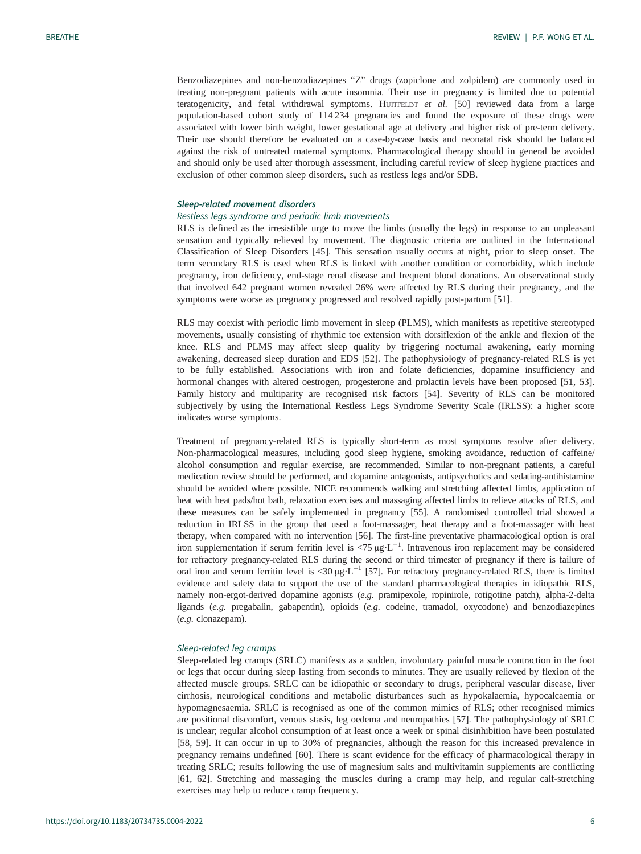Benzodiazepines and non-benzodiazepines "Z" drugs (zopiclone and zolpidem) are commonly used in treating non-pregnant patients with acute insomnia. Their use in pregnancy is limited due to potential teratogenicity, and fetal withdrawal symptoms. HUITFELDT et al.  $[50]$  $[50]$  reviewed data from a large population-based cohort study of 114 234 pregnancies and found the exposure of these drugs were associated with lower birth weight, lower gestational age at delivery and higher risk of pre-term delivery. Their use should therefore be evaluated on a case-by-case basis and neonatal risk should be balanced against the risk of untreated maternal symptoms. Pharmacological therapy should in general be avoided and should only be used after thorough assessment, including careful review of sleep hygiene practices and exclusion of other common sleep disorders, such as restless legs and/or SDB.

# Sleep-related movement disorders

# Restless legs syndrome and periodic limb movements

RLS is defined as the irresistible urge to move the limbs (usually the legs) in response to an unpleasant sensation and typically relieved by movement. The diagnostic criteria are outlined in the International Classification of Sleep Disorders [\[45\]](#page-9-0). This sensation usually occurs at night, prior to sleep onset. The term secondary RLS is used when RLS is linked with another condition or comorbidity, which include pregnancy, iron deficiency, end-stage renal disease and frequent blood donations. An observational study that involved 642 pregnant women revealed 26% were affected by RLS during their pregnancy, and the symptoms were worse as pregnancy progressed and resolved rapidly post-partum [\[51](#page-9-0)].

RLS may coexist with periodic limb movement in sleep (PLMS), which manifests as repetitive stereotyped movements, usually consisting of rhythmic toe extension with dorsiflexion of the ankle and flexion of the knee. RLS and PLMS may affect sleep quality by triggering nocturnal awakening, early morning awakening, decreased sleep duration and EDS [\[52](#page-9-0)]. The pathophysiology of pregnancy-related RLS is yet to be fully established. Associations with iron and folate deficiencies, dopamine insufficiency and hormonal changes with altered oestrogen, progesterone and prolactin levels have been proposed [[51, 53\]](#page-9-0). Family history and multiparity are recognised risk factors [[54\]](#page-9-0). Severity of RLS can be monitored subjectively by using the International Restless Legs Syndrome Severity Scale (IRLSS): a higher score indicates worse symptoms.

Treatment of pregnancy-related RLS is typically short-term as most symptoms resolve after delivery. Non-pharmacological measures, including good sleep hygiene, smoking avoidance, reduction of caffeine/ alcohol consumption and regular exercise, are recommended. Similar to non-pregnant patients, a careful medication review should be performed, and dopamine antagonists, antipsychotics and sedating-antihistamine should be avoided where possible. NICE recommends walking and stretching affected limbs, application of heat with heat pads/hot bath, relaxation exercises and massaging affected limbs to relieve attacks of RLS, and these measures can be safely implemented in pregnancy [\[55](#page-9-0)]. A randomised controlled trial showed a reduction in IRLSS in the group that used a foot-massager, heat therapy and a foot-massager with heat therapy, when compared with no intervention [\[56\]](#page-9-0). The first-line preventative pharmacological option is oral iron supplementation if serum ferritin level is <75 μg⋅L<sup>-1</sup>. Intravenous iron replacement may be considered for refractory pregnancy-related RLS during the second or third trimester of pregnancy if there is failure of oral iron and serum ferritin level is <30 μg⋅L<sup>-1</sup> [\[57](#page-9-0)]. For refractory pregnancy-related RLS, there is limited evidence and safety data to support the use of the standard pharmacological therapies in idiopathic RLS, namely non-ergot-derived dopamine agonists (e.g. pramipexole, ropinirole, rotigotine patch), alpha-2-delta ligands (e.g. pregabalin, gabapentin), opioids (e.g. codeine, tramadol, oxycodone) and benzodiazepines (e.g. clonazepam).

# Sleep-related leg cramps

Sleep-related leg cramps (SRLC) manifests as a sudden, involuntary painful muscle contraction in the foot or legs that occur during sleep lasting from seconds to minutes. They are usually relieved by flexion of the affected muscle groups. SRLC can be idiopathic or secondary to drugs, peripheral vascular disease, liver cirrhosis, neurological conditions and metabolic disturbances such as hypokalaemia, hypocalcaemia or hypomagnesaemia. SRLC is recognised as one of the common mimics of RLS; other recognised mimics are positional discomfort, venous stasis, leg oedema and neuropathies [[57\]](#page-9-0). The pathophysiology of SRLC is unclear; regular alcohol consumption of at least once a week or spinal disinhibition have been postulated [\[58](#page-9-0), [59](#page-9-0)]. It can occur in up to 30% of pregnancies, although the reason for this increased prevalence in pregnancy remains undefined [[60\]](#page-9-0). There is scant evidence for the efficacy of pharmacological therapy in treating SRLC; results following the use of magnesium salts and multivitamin supplements are conflicting [\[61](#page-10-0), [62](#page-10-0)]. Stretching and massaging the muscles during a cramp may help, and regular calf-stretching exercises may help to reduce cramp frequency.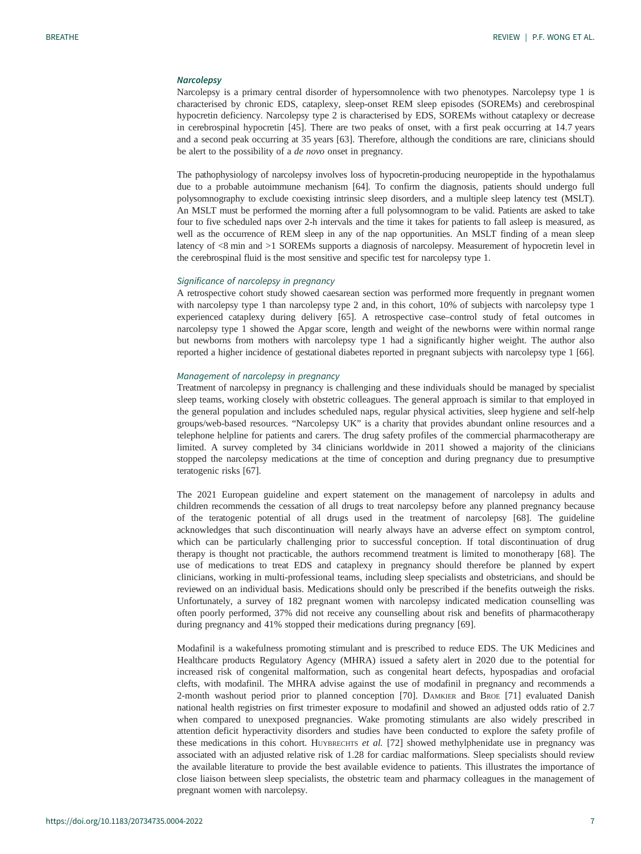### **Narcolepsy**

Narcolepsy is a primary central disorder of hypersomnolence with two phenotypes. Narcolepsy type 1 is characterised by chronic EDS, cataplexy, sleep-onset REM sleep episodes (SOREMs) and cerebrospinal hypocretin deficiency. Narcolepsy type 2 is characterised by EDS, SOREMs without cataplexy or decrease in cerebrospinal hypocretin [[45\]](#page-9-0). There are two peaks of onset, with a first peak occurring at 14.7 years and a second peak occurring at 35 years [[63\]](#page-10-0). Therefore, although the conditions are rare, clinicians should be alert to the possibility of a de novo onset in pregnancy.

The pathophysiology of narcolepsy involves loss of hypocretin-producing neuropeptide in the hypothalamus due to a probable autoimmune mechanism [[64](#page-10-0)]. To confirm the diagnosis, patients should undergo full polysomnography to exclude coexisting intrinsic sleep disorders, and a multiple sleep latency test (MSLT). An MSLT must be performed the morning after a full polysomnogram to be valid. Patients are asked to take four to five scheduled naps over 2-h intervals and the time it takes for patients to fall asleep is measured, as well as the occurrence of REM sleep in any of the nap opportunities. An MSLT finding of a mean sleep latency of <8 min and >1 SOREMs supports a diagnosis of narcolepsy. Measurement of hypocretin level in the cerebrospinal fluid is the most sensitive and specific test for narcolepsy type 1.

#### Significance of narcolepsy in pregnancy

A retrospective cohort study showed caesarean section was performed more frequently in pregnant women with narcolepsy type 1 than narcolepsy type 2 and, in this cohort, 10% of subjects with narcolepsy type 1 experienced cataplexy during delivery [\[65](#page-10-0)]. A retrospective case–control study of fetal outcomes in narcolepsy type 1 showed the Apgar score, length and weight of the newborns were within normal range but newborns from mothers with narcolepsy type 1 had a significantly higher weight. The author also reported a higher incidence of gestational diabetes reported in pregnant subjects with narcolepsy type 1 [[66\]](#page-10-0).

# Management of narcolepsy in pregnancy

Treatment of narcolepsy in pregnancy is challenging and these individuals should be managed by specialist sleep teams, working closely with obstetric colleagues. The general approach is similar to that employed in the general population and includes scheduled naps, regular physical activities, sleep hygiene and self-help groups/web-based resources. "Narcolepsy UK" is a charity that provides abundant online resources and a telephone helpline for patients and carers. The drug safety profiles of the commercial pharmacotherapy are limited. A survey completed by 34 clinicians worldwide in 2011 showed a majority of the clinicians stopped the narcolepsy medications at the time of conception and during pregnancy due to presumptive teratogenic risks [[67\]](#page-10-0).

The 2021 European guideline and expert statement on the management of narcolepsy in adults and children recommends the cessation of all drugs to treat narcolepsy before any planned pregnancy because of the teratogenic potential of all drugs used in the treatment of narcolepsy [\[68](#page-10-0)]. The guideline acknowledges that such discontinuation will nearly always have an adverse effect on symptom control, which can be particularly challenging prior to successful conception. If total discontinuation of drug therapy is thought not practicable, the authors recommend treatment is limited to monotherapy [\[68](#page-10-0)]. The use of medications to treat EDS and cataplexy in pregnancy should therefore be planned by expert clinicians, working in multi-professional teams, including sleep specialists and obstetricians, and should be reviewed on an individual basis. Medications should only be prescribed if the benefits outweigh the risks. Unfortunately, a survey of 182 pregnant women with narcolepsy indicated medication counselling was often poorly performed, 37% did not receive any counselling about risk and benefits of pharmacotherapy during pregnancy and 41% stopped their medications during pregnancy [\[69](#page-10-0)].

Modafinil is a wakefulness promoting stimulant and is prescribed to reduce EDS. The UK Medicines and Healthcare products Regulatory Agency (MHRA) issued a safety alert in 2020 due to the potential for increased risk of congenital malformation, such as congenital heart defects, hypospadias and orofacial clefts, with modafinil. The MHRA advise against the use of modafinil in pregnancy and recommends a 2-month washout period prior to planned conception [\[70](#page-10-0)]. DAMKIER and BROE [\[71](#page-10-0)] evaluated Danish national health registries on first trimester exposure to modafinil and showed an adjusted odds ratio of 2.7 when compared to unexposed pregnancies. Wake promoting stimulants are also widely prescribed in attention deficit hyperactivity disorders and studies have been conducted to explore the safety profile of these medications in this cohort. HUYBRECHTS et al. [[72\]](#page-10-0) showed methylphenidate use in pregnancy was associated with an adjusted relative risk of 1.28 for cardiac malformations. Sleep specialists should review the available literature to provide the best available evidence to patients. This illustrates the importance of close liaison between sleep specialists, the obstetric team and pharmacy colleagues in the management of pregnant women with narcolepsy.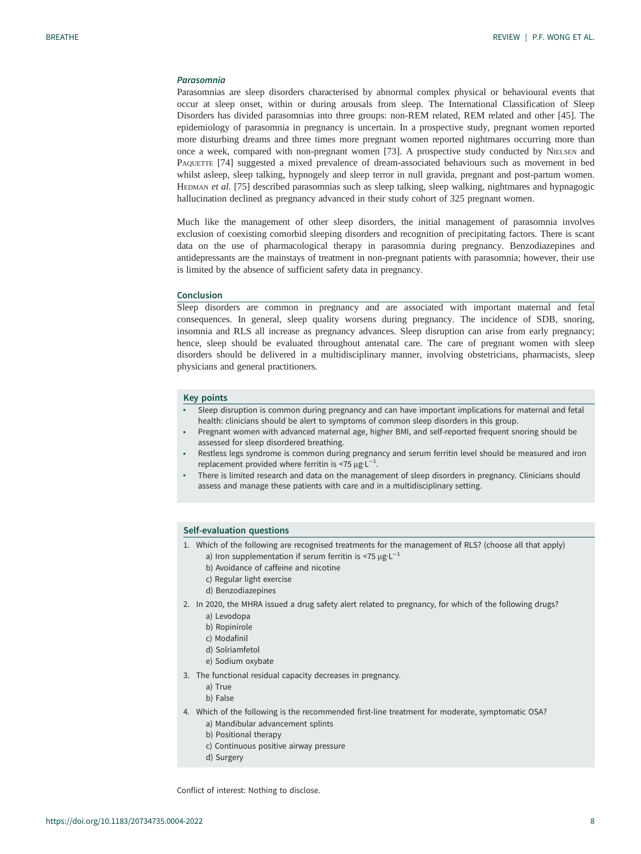# Parasomnia

Parasomnias are sleep disorders characterised by abnormal complex physical or behavioural events that occur at sleep onset, within or during arousals from sleep. The International Classification of Sleep Disorders has divided parasomnias into three groups: non-REM related, REM related and other [\[45](#page-9-0)]. The epidemiology of parasomnia in pregnancy is uncertain. In a prospective study, pregnant women reported more disturbing dreams and three times more pregnant women reported nightmares occurring more than once a week, compared with non-pregnant women [[73\]](#page-10-0). A prospective study conducted by NIELSEN and PAQUETTE [\[74](#page-10-0)] suggested a mixed prevalence of dream-associated behaviours such as movement in bed whilst asleep, sleep talking, hypnogely and sleep terror in null gravida, pregnant and post-partum women. HEDMAN et al. [\[75](#page-10-0)] described parasomnias such as sleep talking, sleep walking, nightmares and hypnagogic hallucination declined as pregnancy advanced in their study cohort of 325 pregnant women.

Much like the management of other sleep disorders, the initial management of parasomnia involves exclusion of coexisting comorbid sleeping disorders and recognition of precipitating factors. There is scant data on the use of pharmacological therapy in parasomnia during pregnancy. Benzodiazepines and antidepressants are the mainstays of treatment in non-pregnant patients with parasomnia; however, their use is limited by the absence of sufficient safety data in pregnancy.

#### Conclusion

Sleep disorders are common in pregnancy and are associated with important maternal and fetal consequences. In general, sleep quality worsens during pregnancy. The incidence of SDB, snoring, insomnia and RLS all increase as pregnancy advances. Sleep disruption can arise from early pregnancy; hence, sleep should be evaluated throughout antenatal care. The care of pregnant women with sleep disorders should be delivered in a multidisciplinary manner, involving obstetricians, pharmacists, sleep physicians and general practitioners.

#### Key points

- Sleep disruption is common during pregnancy and can have important implications for maternal and fetal health: clinicians should be alert to symptoms of common sleep disorders in this group.
- Pregnant women with advanced maternal age, higher BMI, and self-reported frequent snoring should be assessed for sleep disordered breathing.
- Restless legs syndrome is common during pregnancy and serum ferritin level should be measured and iron replacement provided where ferritin is <75  $\mu$ g·L<sup>-1</sup>.
- There is limited research and data on the management of sleep disorders in pregnancy. Clinicians should assess and manage these patients with care and in a multidisciplinary setting.

#### Self-evaluation questions

- 1. Which of the following are recognised treatments for the management of RLS? (choose all that apply) a) Iron supplementation if serum ferritin is <75 μg·L<sup>-1</sup>
	- b) Avoidance of caffeine and nicotine
	- c) Regular light exercise
	- d) Benzodiazepines
- 2. In 2020, the MHRA issued a drug safety alert related to pregnancy, for which of the following drugs?
	- a) Levodopa
	- b) Ropinirole
	- c) Modafinil
	- d) Solriamfetol
	- e) Sodium oxybate
- 3. The functional residual capacity decreases in pregnancy.
	- a) True
	- b) False
- 4. Which of the following is the recommended first-line treatment for moderate, symptomatic OSA? a) Mandibular advancement splints
	- b) Positional therapy
	- c) Continuous positive airway pressure
	- d) Surgery

Conflict of interest: Nothing to disclose.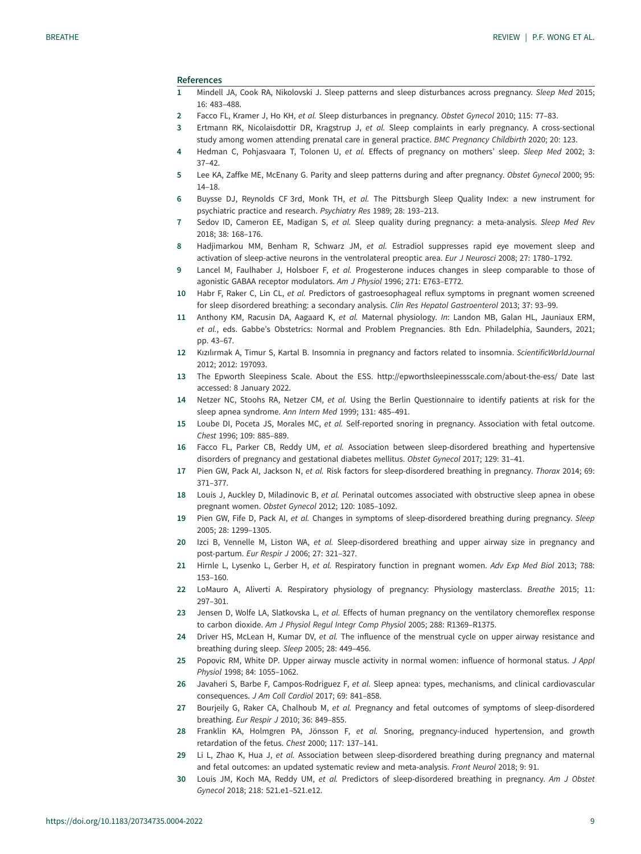#### <span id="page-8-0"></span>References

- 1 Mindell JA, Cook RA, Nikolovski J. Sleep patterns and sleep disturbances across pregnancy. Sleep Med 2015; 16: 483–488.
- 2 Facco FL, Kramer J, Ho KH, et al. Sleep disturbances in pregnancy. Obstet Gynecol 2010; 115: 77–83.
- 3 Ertmann RK, Nicolaisdottir DR, Kragstrup J, et al. Sleep complaints in early pregnancy. A cross-sectional study among women attending prenatal care in general practice. BMC Pregnancy Childbirth 2020; 20: 123.
- 4 Hedman C, Pohjasvaara T, Tolonen U, et al. Effects of pregnancy on mothers' sleep. Sleep Med 2002; 3: 37–42.
- 5 Lee KA, Zaffke ME, McEnany G. Parity and sleep patterns during and after pregnancy. Obstet Gynecol 2000; 95: 14–18.
- 6 Buysse DJ, Reynolds CF 3rd, Monk TH, et al. The Pittsburgh Sleep Quality Index: a new instrument for psychiatric practice and research. Psychiatry Res 1989; 28: 193–213.
- 7 Sedov ID, Cameron EE, Madigan S, et al. Sleep quality during pregnancy: a meta-analysis. Sleep Med Rev 2018; 38: 168–176.
- 8 Hadjimarkou MM, Benham R, Schwarz JM, et al. Estradiol suppresses rapid eye movement sleep and activation of sleep-active neurons in the ventrolateral preoptic area. Eur J Neurosci 2008; 27: 1780–1792.
- 9 Lancel M, Faulhaber J, Holsboer F, et al. Progesterone induces changes in sleep comparable to those of agonistic GABAA receptor modulators. Am J Physiol 1996; 271: E763–E772.
- 10 Habr F, Raker C, Lin CL, et al. Predictors of gastroesophageal reflux symptoms in pregnant women screened for sleep disordered breathing: a secondary analysis. Clin Res Hepatol Gastroenterol 2013; 37: 93–99.
- 11 Anthony KM, Racusin DA, Aagaard K, et al. Maternal physiology. In: Landon MB, Galan HL, Jauniaux ERM, et al., eds. Gabbe's Obstetrics: Normal and Problem Pregnancies. 8th Edn. Philadelphia, Saunders, 2021; pp. 43–67.
- 12 Kızılırmak A, Timur S, Kartal B. Insomnia in pregnancy and factors related to insomnia. ScientificWorldJournal 2012; 2012: 197093.
- 13 The Epworth Sleepiness Scale. About the ESS.<http://epworthsleepinessscale.com/about-the-ess/> Date last accessed: 8 January 2022.
- 14 Netzer NC, Stoohs RA, Netzer CM, et al. Using the Berlin Questionnaire to identify patients at risk for the sleep apnea syndrome. Ann Intern Med 1999; 131: 485–491.
- 15 Loube DI, Poceta JS, Morales MC, et al. Self-reported snoring in pregnancy. Association with fetal outcome. Chest 1996; 109: 885–889.
- 16 Facco FL, Parker CB, Reddy UM, et al. Association between sleep-disordered breathing and hypertensive disorders of pregnancy and gestational diabetes mellitus. Obstet Gynecol 2017; 129: 31–41.
- 17 Pien GW, Pack AI, Jackson N, et al. Risk factors for sleep-disordered breathing in pregnancy. Thorax 2014; 69: 371–377.
- 18 Louis J, Auckley D, Miladinovic B, et al. Perinatal outcomes associated with obstructive sleep apnea in obese pregnant women. Obstet Gynecol 2012; 120: 1085–1092.
- 19 Pien GW, Fife D, Pack AI, et al. Changes in symptoms of sleep-disordered breathing during pregnancy. Sleep 2005; 28: 1299–1305.
- 20 Izci B, Vennelle M, Liston WA, et al. Sleep-disordered breathing and upper airway size in pregnancy and post-partum. Eur Respir J 2006; 27: 321–327.
- 21 Hirnle L, Lysenko L, Gerber H, et al. Respiratory function in pregnant women. Adv Exp Med Biol 2013; 788: 153–160.
- 22 LoMauro A, Aliverti A. Respiratory physiology of pregnancy: Physiology masterclass. Breathe 2015; 11: 297–301.
- 23 Jensen D, Wolfe LA, Slatkovska L, et al. Effects of human pregnancy on the ventilatory chemoreflex response to carbon dioxide. Am J Physiol Regul Integr Comp Physiol 2005; 288: R1369–R1375.
- 24 Driver HS, McLean H, Kumar DV, et al. The influence of the menstrual cycle on upper airway resistance and breathing during sleep. Sleep 2005; 28: 449–456.
- 25 Popovic RM, White DP. Upper airway muscle activity in normal women: influence of hormonal status. J Appl Physiol 1998; 84: 1055–1062.
- 26 Javaheri S, Barbe F, Campos-Rodriguez F, et al. Sleep apnea: types, mechanisms, and clinical cardiovascular consequences. J Am Coll Cardiol 2017; 69: 841–858.
- 27 Bourjeily G, Raker CA, Chalhoub M, et al. Pregnancy and fetal outcomes of symptoms of sleep-disordered breathing. Eur Respir J 2010; 36: 849–855.
- 28 Franklin KA, Holmgren PA, Jönsson F, et al. Snoring, pregnancy-induced hypertension, and growth retardation of the fetus. Chest 2000; 117: 137–141.
- 29 Li L, Zhao K, Hua J, et al. Association between sleep-disordered breathing during pregnancy and maternal and fetal outcomes: an updated systematic review and meta-analysis. Front Neurol 2018; 9: 91.
- 30 Louis JM, Koch MA, Reddy UM, et al. Predictors of sleep-disordered breathing in pregnancy. Am J Obstet Gynecol 2018; 218: 521.e1–521.e12.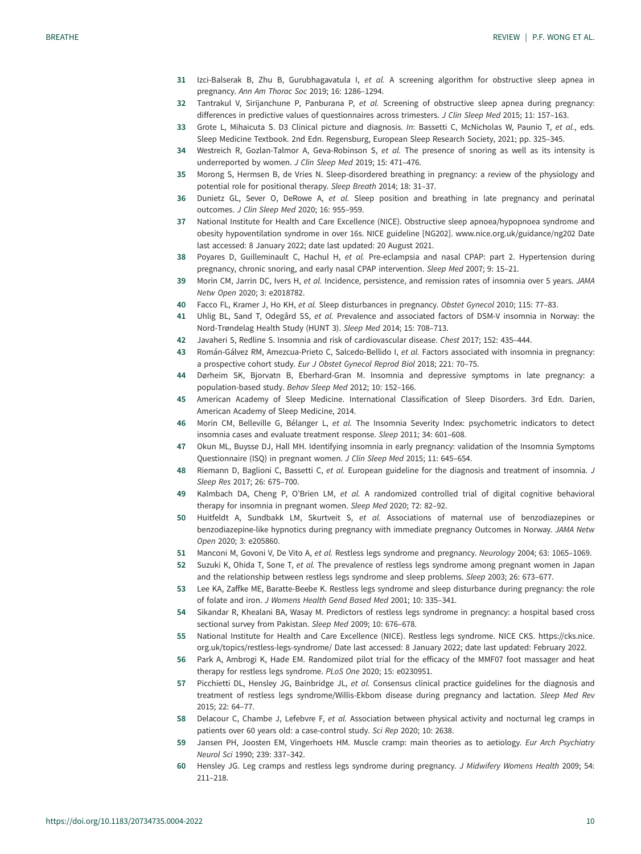- <span id="page-9-0"></span>31 Izci-Balserak B, Zhu B, Gurubhagavatula I, et al. A screening algorithm for obstructive sleep apnea in pregnancy. Ann Am Thorac Soc 2019; 16: 1286–1294.
- 32 Tantrakul V, Sirijanchune P, Panburana P, et al. Screening of obstructive sleep apnea during pregnancy: differences in predictive values of questionnaires across trimesters. J Clin Sleep Med 2015; 11: 157–163.
- 33 Grote L, Mihaicuta S. D3 Clinical picture and diagnosis. In: Bassetti C, McNicholas W, Paunio T, et al., eds. Sleep Medicine Textbook. 2nd Edn. Regensburg, European Sleep Research Society, 2021; pp. 325–345.
- 34 Westreich R, Gozlan-Talmor A, Geva-Robinson S, et al. The presence of snoring as well as its intensity is underreported by women. J Clin Sleep Med 2019; 15: 471–476.
- 35 Morong S, Hermsen B, de Vries N. Sleep-disordered breathing in pregnancy: a review of the physiology and potential role for positional therapy. Sleep Breath 2014; 18: 31–37.
- 36 Dunietz GL, Sever O, DeRowe A, et al. Sleep position and breathing in late pregnancy and perinatal outcomes. J Clin Sleep Med 2020; 16: 955–959.
- 37 National Institute for Health and Care Excellence (NICE). Obstructive sleep apnoea/hypopnoea syndrome and obesity hypoventilation syndrome in over 16s. NICE guideline [NG202]. [www.nice.org.uk/guidance/ng202](http://www.nice.org.uk/guidance/ng202) Date last accessed: 8 January 2022; date last updated: 20 August 2021.
- 38 Poyares D, Guilleminault C, Hachul H, et al. Pre-eclampsia and nasal CPAP: part 2. Hypertension during pregnancy, chronic snoring, and early nasal CPAP intervention. Sleep Med 2007; 9: 15–21.
- 39 Morin CM, Jarrin DC, Ivers H, et al. Incidence, persistence, and remission rates of insomnia over 5 years. JAMA Netw Open 2020; 3: e2018782.
- 40 Facco FL, Kramer J, Ho KH, et al. Sleep disturbances in pregnancy. Obstet Gynecol 2010; 115: 77-83.
- 41 Uhlig BL, Sand T, Odegård SS, et al. Prevalence and associated factors of DSM-V insomnia in Norway: the Nord-Trøndelag Health Study (HUNT 3). Sleep Med 2014; 15: 708–713.
- 42 Javaheri S, Redline S. Insomnia and risk of cardiovascular disease. Chest 2017; 152: 435–444.
- 43 Román-Gálvez RM, Amezcua-Prieto C, Salcedo-Bellido I, et al. Factors associated with insomnia in pregnancy: a prospective cohort study. Eur J Obstet Gynecol Reprod Biol 2018; 221: 70–75.
- 44 Dørheim SK, Bjorvatn B, Eberhard-Gran M. Insomnia and depressive symptoms in late pregnancy: a population-based study. Behav Sleep Med 2012; 10: 152–166.
- 45 American Academy of Sleep Medicine. International Classification of Sleep Disorders. 3rd Edn. Darien, American Academy of Sleep Medicine, 2014.
- 46 Morin CM, Belleville G, Bélanger L, et al. The Insomnia Severity Index: psychometric indicators to detect insomnia cases and evaluate treatment response. Sleep 2011; 34: 601–608.
- 47 Okun ML, Buysse DJ, Hall MH. Identifying insomnia in early pregnancy: validation of the Insomnia Symptoms Questionnaire (ISQ) in pregnant women. J Clin Sleep Med 2015; 11: 645–654.
- 48 Riemann D, Baglioni C, Bassetti C, et al. European guideline for the diagnosis and treatment of insomnia. J Sleep Res 2017; 26: 675–700.
- 49 Kalmbach DA, Cheng P, O'Brien LM, et al. A randomized controlled trial of digital cognitive behavioral therapy for insomnia in pregnant women. Sleep Med 2020; 72: 82–92.
- 50 Huitfeldt A, Sundbakk LM, Skurtveit S, et al. Associations of maternal use of benzodiazepines or benzodiazepine-like hypnotics during pregnancy with immediate pregnancy Outcomes in Norway. JAMA Netw Open 2020; 3: e205860.
- 51 Manconi M, Govoni V, De Vito A, et al. Restless legs syndrome and pregnancy. Neurology 2004; 63: 1065–1069.
- 52 Suzuki K, Ohida T, Sone T, et al. The prevalence of restless legs syndrome among pregnant women in Japan and the relationship between restless legs syndrome and sleep problems. Sleep 2003; 26: 673–677.
- 53 Lee KA, Zaffke ME, Baratte-Beebe K. Restless legs syndrome and sleep disturbance during pregnancy: the role of folate and iron. J Womens Health Gend Based Med 2001; 10: 335–341.
- 54 Sikandar R, Khealani BA, Wasay M. Predictors of restless legs syndrome in pregnancy: a hospital based cross sectional survey from Pakistan. Sleep Med 2009; 10: 676–678.
- 55 National Institute for Health and Care Excellence (NICE). Restless legs syndrome. NICE CKS. [https://cks.nice.](https://cks.nice.org.uk/topics/restless-legs-syndrome/) [org.uk/topics/restless-legs-syndrome/](https://cks.nice.org.uk/topics/restless-legs-syndrome/) Date last accessed: 8 January 2022; date last updated: February 2022.
- 56 Park A, Ambrogi K, Hade EM. Randomized pilot trial for the efficacy of the MMF07 foot massager and heat therapy for restless legs syndrome. PLoS One 2020; 15: e0230951.
- 57 Picchietti DL, Hensley JG, Bainbridge JL, et al. Consensus clinical practice guidelines for the diagnosis and treatment of restless legs syndrome/Willis-Ekbom disease during pregnancy and lactation. Sleep Med Rev 2015; 22: 64–77.
- 58 Delacour C, Chambe J, Lefebvre F, et al. Association between physical activity and nocturnal leg cramps in patients over 60 years old: a case-control study. Sci Rep 2020; 10: 2638.
- 59 Jansen PH, Joosten EM, Vingerhoets HM. Muscle cramp: main theories as to aetiology. Eur Arch Psychiatry Neurol Sci 1990; 239: 337–342.
- 60 Hensley JG. Leg cramps and restless legs syndrome during pregnancy. J Midwifery Womens Health 2009; 54: 211–218.